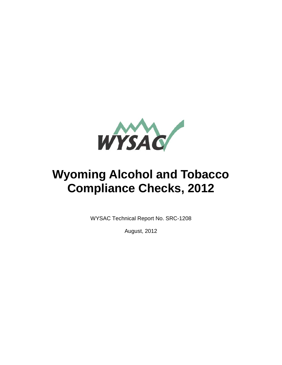

# **Wyoming Alcohol and Tobacco Compliance Checks, 2012**

WYSAC Technical Report No. SRC-1208

August, 2012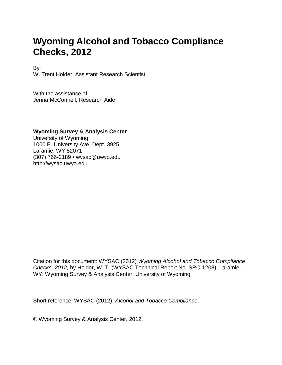# **Wyoming Alcohol and Tobacco Compliance Checks, 2012**

By

W. Trent Holder, Assistant Research Scientist

With the assistance of Jenna McConnell, Research Aide

#### **Wyoming Survey & Analysis Center**

University of Wyoming 1000 E. University Ave, Dept. 3925 Laramie, WY 82071 (307) 766-2189 • wysac@uwyo.edu http://wysac.uwyo.edu

Citation for this document: WYSAC (2012) *Wyoming Alcohol and Tobacco Compliance Checks, 2012,* by Holder, W. T. (WYSAC Technical Report No. SRC-1208). Laramie, WY: Wyoming Survey & Analysis Center, University of Wyoming.

Short reference: WYSAC (2012), *Alcohol and Tobacco Compliance*.

© Wyoming Survey & Analysis Center, 2012.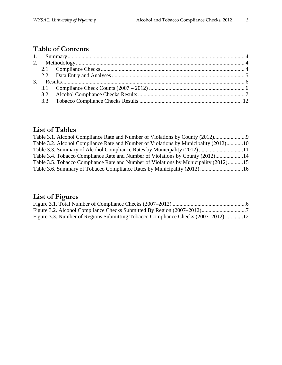# **Table of Contents**

## **List of Tables**

| Table 3.1. Alcohol Compliance Rate and Number of Violations by County (2012)         |  |
|--------------------------------------------------------------------------------------|--|
| Table 3.2. Alcohol Compliance Rate and Number of Violations by Municipality (2012)10 |  |
| Table 3.3. Summary of Alcohol Compliance Rates by Municipality (2012) 11             |  |
| Table 3.4. Tobacco Compliance Rate and Number of Violations by County (2012)14       |  |
| Table 3.5. Tobacco Compliance Rate and Number of Violations by Municipality (2012)15 |  |
| Table 3.6. Summary of Tobacco Compliance Rates by Municipality (2012) 16             |  |

# **List of Figures**

| Figure 3.3. Number of Regions Submitting Tobacco Compliance Checks (2007–2012)12 |  |
|----------------------------------------------------------------------------------|--|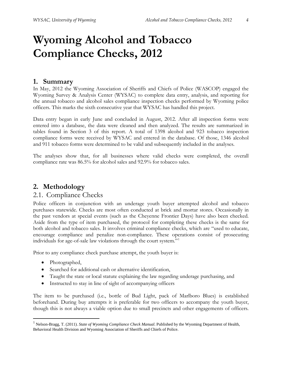# **Wyoming Alcohol and Tobacco Compliance Checks, 2012**

#### <span id="page-3-0"></span>**1. Summary**

In May, 2012 the Wyoming Association of Sheriffs and Chiefs of Police (WASCOP) engaged the Wyoming Survey & Analysis Center (WYSAC) to complete data entry, analysis, and reporting for the annual tobacco and alcohol sales compliance inspection checks performed by Wyoming police officers. This marks the sixth consecutive year that WYSAC has handled this project.

Data entry began in early June and concluded in August, 2012. After all inspection forms were entered into a database, the data were cleaned and then analyzed. The results are summarized in tables found in Section 3 of this report. A total of 1398 alcohol and 923 tobacco inspection compliance forms were received by WYSAC and entered in the database. Of those, 1346 alcohol and 911 tobacco forms were determined to be valid and subsequently included in the analyses.

The analyses show that, for all businesses where valid checks were completed, the overall compliance rate was 86.5% for alcohol sales and 92.9% for tobacco sales.

### <span id="page-3-1"></span>**2. Methodology**

### <span id="page-3-2"></span>2.1. Compliance Checks

Police officers in conjunction with an underage youth buyer attempted alcohol and tobacco purchases statewide. Checks are most often conducted at brick and mortar stores. Occasionally in the past vendors at special events (such as the Cheyenne Frontier Days) have also been checked. Aside from the type of item purchased, the protocol for completing these checks is the same for both alcohol and tobacco sales. It involves criminal compliance checks, which are "used to educate, encourage compliance and penalize non-compliance. These operations consist of prosecuting individuals for age-of-sale law violations through the court system."[1](#page-3-3)

Prior to any compliance check purchase attempt, the youth buyer is:

- Photographed,
- Searched for additional cash or alternative identification,
- Taught the state or local statute explaining the law regarding underage purchasing, and
- Instructed to stay in line of sight of accompanying officers

The item to be purchased (i.e., bottle of Bud Light, pack of Marlboro Blues) is established beforehand. During buy attempts it is preferable for two officers to accompany the youth buyer, though this is not always a viable option due to small precincts and other engagements of officers.

<span id="page-3-3"></span> <sup>1</sup> Nelson-Bragg, T. (2011). *State of Wyoming Compliance Check Manual.* Published by the Wyoming Department of Health, Behavioral Health Division and Wyoming Association of Sheriffs and Chiefs of Police.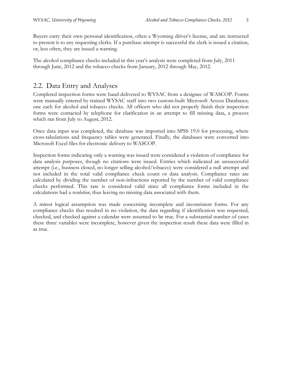Buyers carry their own personal identification, often a Wyoming driver's license, and are instructed to present it to any requesting clerks. If a purchase attempt is successful the clerk is issued a citation, or, less often, they are issued a warning.

The alcohol compliance checks included in this year's analysis were completed from July, 2011 through June, 2012 and the tobacco checks from January, 2012 through May, 2012.

## <span id="page-4-0"></span>2.2. Data Entry and Analyses

Completed inspection forms were hand-delivered to WYSAC from a designee of WASCOP. Forms were manually entered by trained WYSAC staff into two custom-built Microsoft Access Databases; one each for alcohol and tobacco checks. All officers who did not properly finish their inspection forms were contacted by telephone for clarification in an attempt to fill missing data, a process which ran from July to August, 2012.

Once data input was completed, the database was imported into SPSS 19.0 for processing, where cross-tabulations and frequency tables were generated. Finally, the databases were converted into Microsoft Excel files for electronic delivery to WASCOP.

Inspection forms indicating only a warning was issued were considered a violation of compliance for data analysis purposes, though no citations were issued. Entries which indicated an unsuccessful attempt (i.e., business closed, no longer selling alcohol/tobacco) were considered a null attempt and not included in the total valid compliance check count or data analysis. Compliance rates are calculated by dividing the number of non-infractions reported by the number of valid compliance checks performed. This rate is considered valid since all compliance forms included in the calculations had a *resolution*, thus leaving no missing data associated with them.

A minor logical assumption was made concerning incomplete and inconsistent forms. For any compliance checks that resulted in no violation, the data regarding if identification was requested, checked, and checked against a calendar were assumed to be true. For a substantial number of cases these three variables were incomplete, however given the inspection result these data were filled in as true.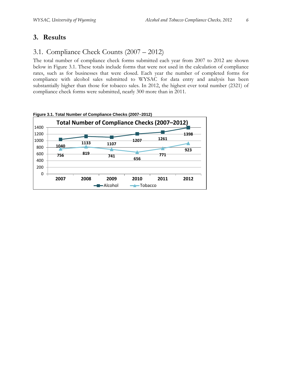## <span id="page-5-0"></span>**3. Results**

## <span id="page-5-1"></span>3.1. Compliance Check Counts (2007 – 2012)

The total number of compliance check forms submitted each year from 2007 to 2012 are shown below in Figure 3.1. These totals include forms that were not used in the calculation of compliance rates, such as for businesses that were closed. Each year the number of completed forms for compliance with alcohol sales submitted to WYSAC for data entry and analysis has been substantially higher than those for tobacco sales. In 2012, the highest ever total number (2321) of compliance check forms were submitted, nearly 300 more than in 2011.



<span id="page-5-2"></span>**Figure 3.1. Total Number of Compliance Checks (2007–2012)**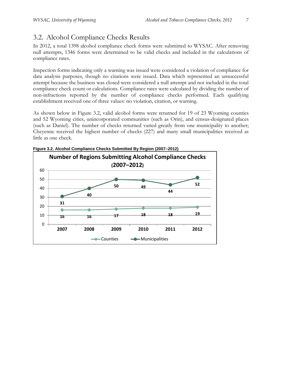## <span id="page-6-0"></span>3.2. Alcohol Compliance Checks Results

In 2012, a total 1398 alcohol compliance check forms were submitted to WYSAC. After removing null attempts, 1346 forms were determined to be valid checks and included in the calculations of compliance rates.

Inspection forms indicating only a warning was issued were considered a violation of compliance for data analysis purposes, though no citations were issued. Data which represented an unsuccessful attempt because the business was closed were considered a null attempt and not included in the total compliance check count or calculations. Compliance rates were calculated by dividing the number of non-infractions reported by the number of compliance checks performed. Each qualifying establishment received one of three values: no violation, citation, or warning.

As shown below in Figure 3.2, valid alcohol forms were returned for 19 of 23 Wyoming counties and 52 Wyoming cities, unincorporated communities (such as Orin), and [census-designated places](http://en.wikipedia.org/wiki/Census-designated_place) (such as Daniel). The number of checks returned varied greatly from one municipality to another; Cheyenne received the highest number of checks (227) and many small municipalities received as little as one check.



<span id="page-6-1"></span>**Figure 3.2. Alcohol Compliance Checks Submitted By Region (2007–2012)**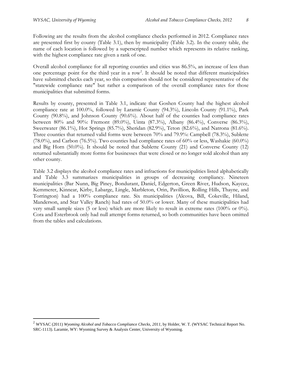Following are the results from the alcohol compliance checks performed in 2012. Compliance rates are presented first by county (Table 3.1), then by municipality (Table 3.2). In the county table, the name of each location is followed by a superscripted number which represents its relative ranking, with the highest compliance rate given a rank of one.

Overall alcohol compliance for all reporting counties and cities was 86.5%, an increase of less than one percentage point for the third year in a row<sup>[2](#page-7-0)</sup>. It should be noted that different municipalities have submitted checks each year, so this comparison should not be considered representative of the "statewide compliance rate" but rather a comparison of the overall compliance rates for those municipalities that submitted forms.

Results by county, presented in Table 3.1, indicate that Goshen County had the highest alcohol compliance rate at 100.0%, followed by Laramie County (94.3%), Lincoln County (91.1%), Park County (90.8%), and Johnson County (90.6%). About half of the counties had compliance rates between 80% and 90%: Fremont (89.0%), Uinta (87.3%), Albany (86.4%), Converse (86.3%), Sweetwater (86.1%), Hot Springs (85.7%), Sheridan (82.9%), Teton (82.6%), and Natrona (81.6%). Three counties that returned valid forms were between 70% and 79.9%: Campbell (78.3%), Sublette (78.0%), and Carbon (76.5%). Two counties had compliance rates of 60% or less, Washakie (60.0%) and Big Horn (50.0%). It should be noted that Sublette County (21) and Converse County (12) returned substantially more forms for businesses that were closed or no longer sold alcohol than any other county.

Table 3.2 displays the alcohol compliance rates and infractions for municipalities listed alphabetically and Table 3.3 summarizes municipalities in groups of decreasing compliancy. Nineteen municipalities (Bar Nunn, Big Piney, Bondurant, Daniel, Edgerton, Green River, Hudson, Kaycee, Kemmerer, Kinnear, Kirby, Labarge, Lingle, Marbleton, Orin, Pavillion, Rolling Hills, Thayne, and Torrington) had a 100% compliance rate. Six municipalities (Alcova, Bill, Cokeville, Hiland, Manderson, and Star Valley Ranch) had rates of 50.0% or lower. Many of these municipalities had very small sample sizes (5 or less) which are more likely to result in extreme rates (100% or 0%). Cora and Esterbrook only had null attempt forms returned, so both communities have been omitted from the tables and calculations.

<span id="page-7-0"></span><sup>&</sup>lt;sup>2</sup> WYSAC (2011) *Wyoming Alcohol and Tobacco Compliance Checks, 2011*, by Holder, W. T. (WYSAC Technical Report No. SRC-1113). Laramie, WY: Wyoming Survey & Analysis Center, University of Wyoming.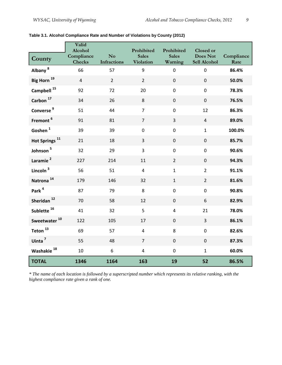|                           | Valid<br>Alcohol            |                          | Prohibited                       | Prohibited              | Closed or                |                    |
|---------------------------|-----------------------------|--------------------------|----------------------------------|-------------------------|--------------------------|--------------------|
| County                    | Compliance<br><b>Checks</b> | No<br><b>Infractions</b> | <b>Sales</b><br><b>Violation</b> | <b>Sales</b><br>Warning | Does Not<br>Sell Alcohol | Compliance<br>Rate |
| Albany <sup>8</sup>       | 66                          | 57                       | 9                                | $\mathbf 0$             | $\mathbf 0$              | 86.4%              |
| Big Horn <sup>19</sup>    | $\overline{4}$              | $\overline{2}$           | $\overline{2}$                   | $\pmb{0}$               | $\boldsymbol{0}$         | 50.0%              |
| Campbell <sup>15</sup>    | 92                          | 72                       | 20                               | $\pmb{0}$               | $\mathbf 0$              | 78.3%              |
| Carbon <sup>17</sup>      | 34                          | 26                       | 8                                | $\mathbf 0$             | $\mathbf{0}$             | 76.5%              |
| Converse <sup>9</sup>     | 51                          | 44                       | $\overline{7}$                   | $\pmb{0}$               | 12                       | 86.3%              |
| Fremont <sup>6</sup>      | 91                          | 81                       | $\overline{7}$                   | $\overline{3}$          | $\overline{4}$           | 89.0%              |
| Goshen $^1$               | 39                          | 39                       | $\pmb{0}$                        | $\pmb{0}$               | $\mathbf{1}$             | 100.0%             |
| Hot Springs <sup>11</sup> | 21                          | 18                       | $\overline{3}$                   | $\mathbf 0$             | $\mathbf 0$              | 85.7%              |
| Johnson <sup>5</sup>      | 32                          | 29                       | 3                                | $\pmb{0}$               | $\mathbf 0$              | 90.6%              |
| Laramie <sup>2</sup>      | 227                         | 214                      | 11                               | $\overline{2}$          | $\boldsymbol{0}$         | 94.3%              |
| Lincoln <sup>3</sup>      | 56                          | 51                       | $\overline{\mathbf{4}}$          | $\mathbf{1}$            | $\overline{2}$           | 91.1%              |
| Natrona <sup>14</sup>     | 179                         | 146                      | 32                               | $\mathbf 1$             | $\overline{2}$           | 81.6%              |
| Park <sup>4</sup>         | 87                          | 79                       | 8                                | $\pmb{0}$               | $\mathbf 0$              | 90.8%              |
| Sheridan <sup>12</sup>    | 70                          | 58                       | 12                               | $\pmb{0}$               | 6                        | 82.9%              |
| Sublette <sup>16</sup>    | 41                          | 32                       | 5                                | $\overline{4}$          | 21                       | 78.0%              |
| Sweetwater <sup>10</sup>  | 122                         | 105                      | 17                               | $\mathbf 0$             | $\overline{3}$           | 86.1%              |
| Teton $^{13}$             | 69                          | 57                       | $\overline{\mathbf{4}}$          | 8                       | $\overline{0}$           | 82.6%              |
| Uinta <sup>7</sup>        | 55                          | 48                       | $\overline{7}$                   | $\pmb{0}$               | $\mathbf 0$              | 87.3%              |
| Washakie <sup>18</sup>    | 10                          | $\boldsymbol{6}$         | $\overline{\mathbf{4}}$          | $\pmb{0}$               | $\mathbf{1}$             | 60.0%              |
| <b>TOTAL</b>              | 1346                        | 1164                     | 163                              | 19                      | 52                       | 86.5%              |

#### <span id="page-8-0"></span>**Table 3.1. Alcohol Compliance Rate and Number of Violations by County (2012)**

*\* The name of each location is followed by a superscripted number which represents its relative ranking, with the highest compliance rate given a rank of one.*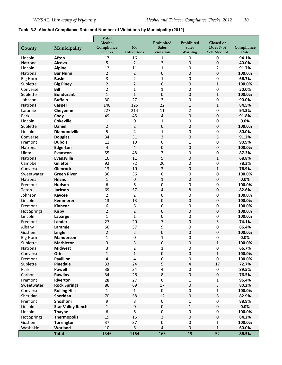#### <span id="page-9-0"></span>**Table 3.2. Alcohol Compliance Rate and Number of Violations by Municipality (2012)**

|                        |                                     | Valid                   |                               |                                  |                         |                          |                    |
|------------------------|-------------------------------------|-------------------------|-------------------------------|----------------------------------|-------------------------|--------------------------|--------------------|
|                        |                                     | Alcohol                 |                               | Prohibited                       | Prohibited              | Closed or                |                    |
| County                 | Municipality                        | Compliance<br>Checks    | N <sub>o</sub><br>Infractions | <b>Sales</b><br><b>Violation</b> | <b>Sales</b><br>Warning | Does Not<br>Sell Alcohol | Compliance<br>Rate |
| Lincoln                | <b>Afton</b>                        | 17                      | 16                            | 1                                | $\mathbf 0$             | 0                        | 94.1%              |
| Natrona                | Alcova                              | 5                       | $\overline{2}$                | 3                                | $\pmb{0}$               | $\mathbf 0$              | 40.0%              |
| Lincoln                | <b>Alpine</b>                       | 12                      | 11                            | 1                                | $\mathbf 0$             | 2                        | 91.7%              |
| Natrona                | <b>Bar Nunn</b>                     | $\overline{2}$          | 2                             | 0                                | $\mathbf 0$             | 0                        | 100.0%             |
| <b>Big Horn</b>        | <b>Basin</b>                        | 3                       | 2                             | $\mathbf{1}$                     | $\mathbf 0$             | 0                        | 66.7%              |
| Sublette               | <b>Big Piney</b>                    | $\overline{2}$          | 2                             | 0                                | 0                       | $\mathbf{1}$             | 100.0%             |
| Converse               | <b>Bill</b>                         | $\overline{2}$          | $\mathbf{1}$                  | $\mathbf{1}$                     | $\pmb{0}$               | 0                        | 50.0%              |
| Sublette               | <b>Bondurant</b>                    | $\mathbf{1}$            | $\mathbf{1}$                  | $\pmb{0}$                        | $\pmb{0}$               | $\mathbf{1}$             | 100.0%             |
| Johnson                | <b>Buffalo</b>                      | 30                      | 27                            | 3                                | $\pmb{0}$               | 0                        | 90.0%              |
| Natrona                | Casper                              | 148                     | 125                           | 22                               | $\mathbf{1}$            | $\mathbf{1}$             | 84.5%              |
| Laramie                | Cheyenne                            | 227                     | 214                           | 11                               | 2                       | 0                        | 94.3%              |
| Park                   | Cody                                | 49                      | 45                            | $\overline{\mathbf{4}}$          | $\mathbf 0$             | 0                        | 91.8%              |
| Lincoln                | <b>Cokeville</b>                    | 1                       | 0                             | 1                                | 0                       | 0                        | 0.0%               |
| Sublette               | <b>Daniel</b>                       | $\overline{2}$          | $\overline{2}$                | $\pmb{0}$                        | $\mathbf 0$             | 0                        | 100.0%             |
| Lincoln                | <b>Diamondville</b>                 | 5                       | 4                             | $\mathbf 1$                      | $\mathbf 0$             | 0                        | 80.0%              |
| Converse               | <b>Douglas</b>                      | 34                      | 31                            | 3                                | $\pmb{0}$               | 5                        | 91.2%              |
| Fremont                | <b>Dubois</b>                       | 11                      | 10                            | 0                                | $\mathbf{1}$            | 0                        | 90.9%              |
| Natrona                | Edgerton                            | $\overline{4}$          | 4                             | 0                                | $\pmb{0}$               | 0                        | 100.0%             |
| Uinta                  | Evanston                            | 55                      | 48                            | 7                                | 0                       | 0                        | 87.3%              |
| Natrona                | <b>Evansville</b>                   | 16                      | 11                            | 5                                | $\boldsymbol{0}$        | $\mathbf{1}$             | 68.8%              |
| Campbell               | Gillette                            | 92                      | 72                            | 20                               | $\pmb{0}$               | 0                        | 78.3%              |
| Converse               | <b>Glenrock</b>                     | 13                      | 10                            | 3                                | $\mathbf 0$             | $\mathbf 1$              | 76.9%              |
| Sweetwater             | <b>Green River</b>                  | 36                      | 36                            | 0                                | 0                       | 0                        | 100.0%             |
| Natrona                | <b>Hiland</b>                       | $\mathbf{1}$            | 0                             | $\mathbf{1}$                     | $\mathbf 0$             | 0                        | 0.0%               |
| Fremont                | Hudson                              | 6                       | 6                             | 0                                | 0                       | 0                        | 100.0%             |
| Teton                  | Jackson                             | 69                      | 57                            | $\overline{4}$                   | 8                       | $\mathbf 0$              | 82.6%              |
| Johnson                | Kaycee                              | $\overline{2}$          | 2                             | 0                                | $\mathbf 0$             | 0                        | 100.0%             |
| Lincoln                | <b>Kemmerer</b>                     | 13                      | 13                            | 0                                | $\mathbf 0$             | 0                        | 100.0%             |
| Fremont                | Kinnear                             | 6                       | 6                             | $\pmb{0}$                        | $\mathbf 0$             | 0                        | 100.0%             |
| <b>Hot Springs</b>     | <b>Kirby</b>                        | $\overline{2}$          | 2                             | 0                                | 0                       | 0                        | 100.0%             |
| Lincoln                | Labarge                             | $\mathbf{1}$            | $\mathbf{1}$                  | 0                                | $\pmb{0}$               | 0                        | 100.0%             |
| Fremont                | Lander                              | 27                      | 20                            | $\overline{7}$                   | $\pmb{0}$               | 3                        | 74.1%              |
| Albany                 | Laramie                             | 66                      | 57                            | 9                                | $\pmb{0}$               | 0                        | 86.4%              |
| Goshen                 | Lingle                              | $\overline{2}$          | $\overline{2}$                | $\pmb{0}$                        | $\mathbf{0}$            | 0                        | 100.0%             |
| <b>Big Horn</b>        | <b>Manderson</b>                    | $\mathbf 1$             | 0                             | 1                                | 0                       | 0                        | 0.0%               |
| Sublette               | <b>Marbleton</b>                    | 3                       | 3                             | $\boldsymbol{0}$                 | $\boldsymbol{0}$        | 1                        | 100.0%             |
| Natrona                | <b>Midwest</b>                      | 3                       | 2                             | 1                                | 0                       | 0                        | 66.7%              |
| Converse               | Orin                                | $\mathbf{1}$            | $\mathbf{1}$                  | $\pmb{0}$                        | $\boldsymbol{0}$        | $\mathbf{1}$             | 100.0%             |
| Fremont                | <b>Pavillion</b>                    | $\overline{\mathbf{4}}$ | 4                             | $\pmb{0}$                        | 0                       | $\pmb{0}$                | 100.0%             |
| Sublette               | Pinedale                            | 33                      | 24                            | 5                                | $\overline{4}$          | 17                       | 72.7%              |
| Park                   | <b>Powell</b>                       | 38                      | 34                            | $\overline{\mathbf{4}}$          | $\pmb{0}$               | $\pmb{0}$                | 89.5%              |
| Carbon                 | <b>Rawlins</b>                      | 34                      | 26                            | 8                                | $\mathbf 0$             | 0                        | 76.5%              |
| Fremont                | Riverton                            | 28                      | 27                            | $\pmb{0}$                        | $\mathbf{1}$            |                          | 96.4%              |
|                        | <b>Rock Springs</b>                 | 86                      | 69                            | 17                               | $\boldsymbol{0}$        | 1<br>3                   | 80.2%              |
| Sweetwater<br>Converse | <b>Rolling Hills</b>                | $\mathbf{1}$            | $\mathbf 1$                   | 0                                | $\pmb{0}$               | 1                        | 100.0%             |
| Sheridan               | Sheridan                            | 70                      | 58                            | 12                               | $\pmb{0}$               | 6                        | 82.9%              |
|                        | Shoshoni                            | 9                       | 8                             | $\pmb{0}$                        | $\mathbf{1}$            | 0                        | 88.9%              |
| Fremont                |                                     | $\mathbf{1}$            | 0                             | $\pmb{0}$                        | $\mathbf{1}$            | $\pmb{0}$                | 0.0%               |
| Lincoln<br>Lincoln     | <b>Star Valley Ranch</b>            | 6                       | 6                             |                                  | $\pmb{0}$               |                          | 100.0%             |
|                        | <b>Thayne</b><br><b>Thermopolis</b> | 19                      | 16                            | 0<br>$\overline{3}$              | $\boldsymbol{0}$        | 0<br>$\pmb{0}$           | 84.2%              |
| <b>Hot Springs</b>     |                                     | 37                      | 37                            |                                  |                         |                          | 100.0%             |
| Goshen<br>Washakie     | <b>Torrington</b><br>Worland        | 10                      | 6                             | $\pmb{0}$<br>4                   | 0<br>$\mathbf 0$        | 1<br>1                   | 60.0%              |
|                        |                                     |                         |                               |                                  |                         |                          |                    |
|                        | <b>Total</b>                        | 1346                    | 1164                          | 163                              | 19                      | 52                       | 86.5%              |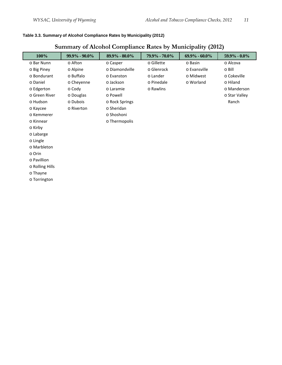#### <span id="page-10-0"></span>**Table 3.3. Summary of Alcohol Compliance Rates by Municipality (2012)**

## **Summary of Alcohol Compliance Rates by Municipality (2012)**

| 100%            | $99.9\% - 90.0\%$ | $89.9\% - 80.0\%$ | 79.9% - 70.0% | $69.9\% - 60.0\%$ | 59.9% - 0.0%  |
|-----------------|-------------------|-------------------|---------------|-------------------|---------------|
| o Bar Nunn      | o Afton           | o Casper          | o Gillette    | o Basin           | o Alcova      |
| o Big Piney     | o Alpine          | o Diamondville    | o Glenrock    | o Evansville      | o Bill        |
| o Bondurant     | o Buffalo         | o Evanston        | o Lander      | o Midwest         | o Cokeville   |
| o Daniel        | o Cheyenne        | o Jackson         | o Pinedale    | o Worland         | o Hiland      |
| o Edgerton      | $\circ$ Cody      | o Laramie         | o Rawlins     |                   | o Manderson   |
| o Green River   | o Douglas         | o Powell          |               |                   | o Star Valley |
| o Hudson        | o Dubois          | o Rock Springs    |               |                   | Ranch         |
| o Kaycee        | o Riverton        | o Sheridan        |               |                   |               |
| o Kemmerer      |                   | o Shoshoni        |               |                   |               |
| o Kinnear       |                   | o Thermopolis     |               |                   |               |
| o Kirby         |                   |                   |               |                   |               |
| o Labarge       |                   |                   |               |                   |               |
| o Lingle        |                   |                   |               |                   |               |
| o Marbleton     |                   |                   |               |                   |               |
| o Orin          |                   |                   |               |                   |               |
| o Pavillion     |                   |                   |               |                   |               |
| o Rolling Hills |                   |                   |               |                   |               |
| o Thayne        |                   |                   |               |                   |               |
| o Torrington    |                   |                   |               |                   |               |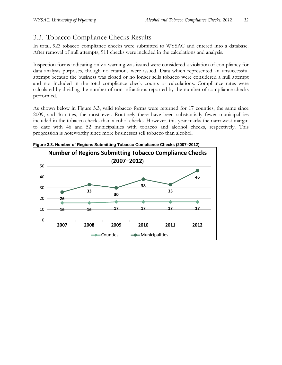## <span id="page-11-0"></span>3.3. Tobacco Compliance Checks Results

In total, 923 tobacco compliance checks were submitted to WYSAC and entered into a database. After removal of null attempts, 911 checks were included in the calculations and analysis.

Inspection forms indicating only a warning was issued were considered a violation of compliancy for data analysis purposes, though no citations were issued. Data which represented an unsuccessful attempt because the business was closed or no longer sells tobacco were considered a null attempt and not included in the total compliance check counts or calculations. Compliance rates were calculated by dividing the number of non-infractions reported by the number of compliance checks performed.

As shown below in Figure 3.3, valid tobacco forms were returned for 17 counties, the same since 2009, and 46 cities, the most ever. Routinely there have been substantially fewer municipalities included in the tobacco checks than alcohol checks. However, this year marks the narrowest margin to date with 46 and 52 municipalities with tobacco and alcohol checks, respectively. This progression is noteworthy since more businesses sell tobacco than alcohol.



<span id="page-11-1"></span>**Figure 3.3. Number of Regions Submitting Tobacco Compliance Checks (2007–2012)**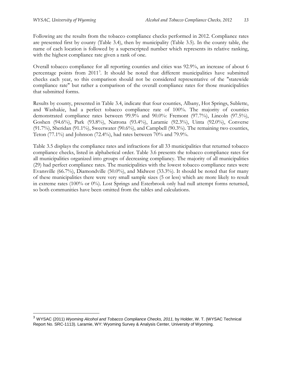$\overline{a}$ 

Following are the results from the tobacco compliance checks performed in 2012. Compliance rates are presented first by county (Table 3.4), then by municipality (Table 3.5). In the county table, the name of each location is followed by a superscripted number which represents its relative ranking, with the highest compliance rate given a rank of one.

Overall tobacco compliance for all reporting counties and cities was 92.9%, an increase of about 6 percentage points from 2011<sup>[3](#page-12-0)</sup>. It should be noted that different municipalities have submitted checks each year, so this comparison should not be considered representative of the "statewide compliance rate" but rather a comparison of the overall compliance rates for those municipalities that submitted forms.

Results by county, presented in Table 3.4, indicate that four counties, Albany, Hot Springs, Sublette, and Washakie, had a perfect tobacco compliance rate of 100%. The majority of counties demonstrated compliance rates between 99.9% and 90.0%: Fremont (97.7%), Lincoln (97.5%), Goshen (94.6%), Park (93.8%), Natrona (93.4%), Laramie (92.3%), Uinta (92.0%), Converse (91.7%), Sheridan (91.1%), Sweetwater (90.6%), and Campbell (90.3%). The remaining two counties, Teton (77.1%) and Johnson (72.4%), had rates between 70% and 79.9%.

Table 3.5 displays the compliance rates and infractions for all 33 municipalities that returned tobacco compliance checks, listed in alphabetical order. Table 3.6 presents the tobacco compliance rates for all municipalities organized into groups of decreasing compliancy. The majority of all municipalities (29) had perfect compliance rates. The municipalities with the lowest tobacco compliance rates were Evansville (66.7%), Diamondville (50.0%), and Midwest (33.3%). It should be noted that for many of these municipalities there were very small sample sizes (5 or less) which are more likely to result in extreme rates (100% or 0%). Lost Springs and Esterbrook only had null attempt forms returned, so both communities have been omitted from the tables and calculations.

<span id="page-12-0"></span><sup>&</sup>lt;sup>3</sup> WYSAC (2011) *Wyoming Alcohol and Tobacco Compliance Checks, 2011,* by Holder, W. T. (WYSAC Technical Report No. SRC-1113). Laramie, WY: Wyoming Survey & Analysis Center, University of Wyoming.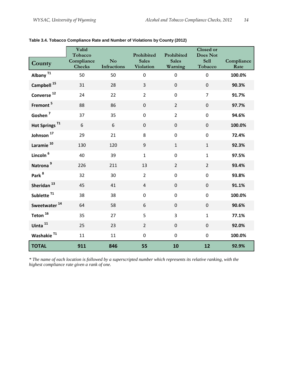|                           | Valid<br>Tobacco            |                               | Prohibited                       | Prohibited              | Closed or<br><b>Does Not</b> |                    |
|---------------------------|-----------------------------|-------------------------------|----------------------------------|-------------------------|------------------------------|--------------------|
| County                    | Compliance<br><b>Checks</b> | N <sub>o</sub><br>Infractions | <b>Sales</b><br><b>Violation</b> | <b>Sales</b><br>Warning | <b>Sell</b><br>Tobacco       | Compliance<br>Rate |
| Albany <sup>T1</sup>      | 50                          | 50                            | $\mathbf 0$                      | $\mathbf 0$             | $\overline{0}$               | 100.0%             |
| Campbell <sup>15</sup>    | 31                          | 28                            | 3                                | $\pmb{0}$               | $\mathbf 0$                  | 90.3%              |
| Converse <sup>12</sup>    | 24                          | 22                            | $\overline{2}$                   | $\mathbf 0$             | $\overline{7}$               | 91.7%              |
| Fremont <sup>5</sup>      | 88                          | 86                            | $\boldsymbol{0}$                 | $\overline{2}$          | $\pmb{0}$                    | 97.7%              |
| Goshen <sup>7</sup>       | 37                          | 35                            | $\mathbf 0$                      | $\overline{2}$          | $\mathbf 0$                  | 94.6%              |
| Hot Springs <sup>T1</sup> | 6                           | 6                             | $\pmb{0}$                        | $\mathbf 0$             | $\overline{0}$               | 100.0%             |
| Johnson <sup>17</sup>     | 29                          | 21                            | 8                                | $\pmb{0}$               | $\overline{0}$               | 72.4%              |
| Laramie <sup>10</sup>     | 130                         | 120                           | $\boldsymbol{9}$                 | $\mathbf{1}$            | $\mathbf{1}$                 | 92.3%              |
| Lincoln <sup>6</sup>      | 40                          | 39                            | $\mathbf{1}$                     | $\pmb{0}$               | $\mathbf{1}$                 | 97.5%              |
| Natrona <sup>9</sup>      | 226                         | 211                           | 13                               | $\overline{2}$          | $\overline{2}$               | 93.4%              |
| Park <sup>8</sup>         | 32                          | 30                            | $\overline{2}$                   | $\pmb{0}$               | $\pmb{0}$                    | 93.8%              |
| Sheridan <sup>13</sup>    | 45                          | 41                            | $\overline{4}$                   | $\mathbf 0$             | $\mathbf 0$                  | 91.1%              |
| Sublette <sup>T1</sup>    | 38                          | 38                            | $\pmb{0}$                        | $\mathbf 0$             | $\overline{0}$               | 100.0%             |
| Sweetwater <sup>14</sup>  | 64                          | 58                            | 6                                | $\mathbf 0$             | $\mathbf 0$                  | 90.6%              |
| Teton $^{16}$             | 35                          | 27                            | 5                                | $\overline{3}$          | $\mathbf{1}$                 | 77.1%              |
| Uinta <sup>11</sup>       | 25                          | 23                            | $\overline{2}$                   | $\mathbf{0}$            | $\mathbf 0$                  | 92.0%              |
| Washakie <sup>T1</sup>    | 11                          | 11                            | $\mathbf 0$                      | $\mathbf 0$             | $\overline{0}$               | 100.0%             |
| <b>TOTAL</b>              | 911                         | 846                           | 55                               | 10                      | 12                           | 92.9%              |

<span id="page-13-0"></span>

| Table 3.4. Tobacco Compliance Rate and Number of Violations by County (2012) |  |  |  |  |  |
|------------------------------------------------------------------------------|--|--|--|--|--|
|------------------------------------------------------------------------------|--|--|--|--|--|

*\* The name of each location is followed by a superscripted number which represents its relative ranking, with the highest compliance rate given a rank of one.*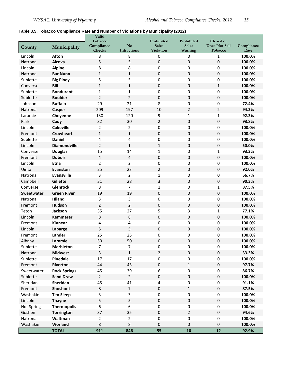### <span id="page-14-0"></span>**Table 3.5. Tobacco Compliance Rate and Number of Violations by Municipality (2012)**

|                    |                     | Valid<br>Tobacco        |                  | Prohibited       | Prohibited     | Closed or            |            |
|--------------------|---------------------|-------------------------|------------------|------------------|----------------|----------------------|------------|
| County             | Municipality        | Compliance              | No               | <b>Sales</b>     | <b>Sales</b>   | <b>Does Not Sell</b> | Compliance |
|                    |                     | Checks                  | Infractions      | <b>Violation</b> | Warning        | Tobacco              | Rate       |
| Lincoln            | <b>Afton</b>        | 8                       | 8                | 0                | 0              | 1                    | 100.0%     |
| Natrona            | Alcova              | 5                       | 5                | $\pmb{0}$        | 0              | $\boldsymbol{0}$     | 100.0%     |
| Lincoln            | <b>Alpine</b>       | 8                       | 8                | 0                | 0              | $\pmb{0}$            | 100.0%     |
| Natrona            | <b>Bar Nunn</b>     | $\mathbf{1}$            | $\mathbf{1}$     | $\pmb{0}$        | $\pmb{0}$      | $\pmb{0}$            | 100.0%     |
| Sublette           | <b>Big Piney</b>    | 5                       | 5                | 0                | 0              | 0                    | 100.0%     |
| Converse           | <b>Bill</b>         | $\mathbf{1}$            | $\mathbf{1}$     | 0                | 0              | $\mathbf{1}$         | 100.0%     |
| Sublette           | <b>Bondurant</b>    | 1                       | 1                | 0                | 0              | 0                    | 100.0%     |
| Sublette           | <b>Boulder</b>      | $\overline{2}$          | $\overline{2}$   | 0                | 0              | $\pmb{0}$            | 100.0%     |
| Johnson            | <b>Buffalo</b>      | 29                      | 21               | 8                | 0              | $\mathbf 0$          | 72.4%      |
| Natrona            | Casper              | 209                     | 197              | 10               | $\overline{2}$ | $\overline{2}$       | 94.3%      |
| Laramie            | Cheyenne            | 130                     | 120              | 9                | $\mathbf{1}$   | $\mathbf{1}$         | 92.3%      |
| Park               | Cody                | 32                      | 30               | $\overline{2}$   | 0              | 0                    | 93.8%      |
| Lincoln            | <b>Cokeville</b>    | $\overline{2}$          | $\overline{2}$   | 0                | 0              | 0                    | 100.0%     |
| Fremont            | <b>Crowheart</b>    | $\mathbf{1}$            | $\mathbf{1}$     | 0                | 0              | $\pmb{0}$            | 100.0%     |
| Sublette           | <b>Daniel</b>       | 4                       | 4                | 0                | 0              | $\pmb{0}$            | 100.0%     |
| Lincoln            | <b>Diamondville</b> | $\overline{2}$          | $\mathbf{1}$     | $\mathbf{1}$     | $\pmb{0}$      | $\pmb{0}$            | 50.0%      |
| Converse           | <b>Douglas</b>      | 15                      | 14               | 1                | 0              | $\mathbf{1}$         | 93.3%      |
| Fremont            | <b>Dubois</b>       | 4                       | 4                | $\pmb{0}$        | 0              | 0                    | 100.0%     |
| Lincoln            | <b>Etna</b>         | 2                       | $\overline{2}$   | 0                | 0              | 0                    | 100.0%     |
| Uinta              | Evanston            | 25                      | 23               | $\overline{2}$   | 0              | $\pmb{0}$            | 92.0%      |
| Natrona            | <b>Evansville</b>   | 3                       | $\overline{2}$   | $\mathbf{1}$     | 0              | 0                    | 66.7%      |
| Campbell           | Gillette            | 31                      | 28               | 3                | 0              | $\pmb{0}$            | 90.3%      |
| Converse           | <b>Glenrock</b>     | 8                       | $\overline{7}$   | $\mathbf{1}$     | 0              | $\mathbf 1$          | 87.5%      |
| Sweetwater         | <b>Green River</b>  | 19                      | 19               | 0                | 0              | 0                    | 100.0%     |
| Natrona            | <b>Hiland</b>       | 3                       | 3                | 0                | 0              | 0                    | 100.0%     |
| Fremont            | <b>Hudson</b>       | $\overline{2}$          | $\overline{2}$   | 0                | 0              | $\pmb{0}$            | 100.0%     |
| Teton              | Jackson             | 35                      | 27               | 5                | 3              | $\mathbf 1$          | 77.1%      |
| Lincoln            | <b>Kemmerer</b>     | 8                       | 8                | $\boldsymbol{0}$ | 0              | $\pmb{0}$            | 100.0%     |
| Fremont            | Kinnear             | 4                       | 4                | 0                | 0              | 0                    | 100.0%     |
| Lincoln            | Labarge             | 5                       | 5                | 0                | 0              | 0                    | 100.0%     |
| Fremont            | Lander              | 25                      | 25               | 0                | 0              | 0                    | 100.0%     |
| Albany             | Laramie             | 50                      | 50               | 0                | 0              | $\Omega$             | 100.0%     |
| Sublette           | <b>Marbleton</b>    | 7                       | 7                | 0                | 0              | 0                    | 100.0%     |
| Natrona            | <b>Midwest</b>      | $\overline{\mathbf{3}}$ | $\mathbf 1$      | $\overline{2}$   | $\pmb{0}$      | $\pmb{0}$            | 33.3%      |
| Sublette           | Pinedale            | 17                      | 17               | 0                | 0              | $\pmb{0}$            | 100.0%     |
| Fremont            | Riverton            | 44                      | 43               | $\pmb{0}$        | $\mathbf{1}$   | $\pmb{0}$            | 97.7%      |
| Sweetwater         | <b>Rock Springs</b> | 45                      | 39               | 6                | $\pmb{0}$      | 0                    | 86.7%      |
| Sublette           | <b>Sand Draw</b>    | $\overline{2}$          | $\overline{2}$   | 0                | 0              | $\pmb{0}$            | 100.0%     |
| Sheridan           | Sheridan            | 45                      | 41               | 4                | 0              | 0                    | 91.1%      |
| Fremont            | Shoshoni            | 8                       | $\overline{7}$   | $\pmb{0}$        | $\mathbf 1$    | $\pmb{0}$            | 87.5%      |
| Washakie           | <b>Ten Sleep</b>    | 3                       | 3                | 0                | 0              | $\pmb{0}$            | 100.0%     |
| Lincoln            | <b>Thayne</b>       | 5                       | 5                | $\pmb{0}$        | $\pmb{0}$      | $\pmb{0}$            | 100.0%     |
| <b>Hot Springs</b> | <b>Thermopolis</b>  | 6                       | $\boldsymbol{6}$ | 0                | 0              | $\pmb{0}$            | 100.0%     |
| Goshen             | <b>Torrington</b>   | 37                      | 35               | $\pmb{0}$        | 2              | $\mathbf 0$          | 94.6%      |
| Natrona            | Waltman             | $\mathbf{2}$            | $\overline{2}$   | 0                | 0              | 0                    | 100.0%     |
| Washakie           | Worland             | 8                       | 8                | 0                | 0              | $\pmb{0}$            | 100.0%     |
|                    | <b>TOTAL</b>        | 911                     | 846              | 55               | 10             | 12                   | 92.9%      |